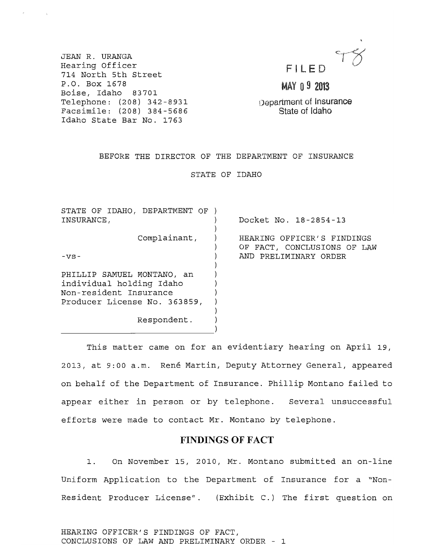|  | FILED |  |
|--|-------|--|

MAY 09 2013

Department of Insurance State of Idaho

JEAN R. URANGA Hearing Officer 714 North 5th Street P.O. Box 1678 Boise, Idaho 83701 Telephone: (208) 342-8931 Facsimile: (208) 384-5686 Idaho State Bar No. 1763

## BEFORE THE DIRECTOR OF THE DEPARTMENT OF INSURANCE

STATE OF IDAHO

| STATE OF IDAHO, DEPARTMENT OF |                             |
|-------------------------------|-----------------------------|
| INSURANCE,                    | Docket No. 18-2854-13       |
|                               |                             |
| Complainant,                  | HEARING OFFICER'S FINDINGS  |
|                               | OF FACT, CONCLUSIONS OF LAW |
| $-vs-$                        | AND PRELIMINARY ORDER       |
|                               |                             |
| PHILLIP SAMUEL MONTANO, an    |                             |
| individual holding Idaho      |                             |
| Non-resident Insurance        |                             |
| Producer License No. 363859,  |                             |
|                               |                             |
| Respondent.                   |                             |
|                               |                             |

This matter came on for an evidentiary hearing on April 19, 2013, at 9:00 a.m. René Martin, Deputy Attorney General, appeared on behalf of the Department of Insurance. Phillip Montano failed to appear either in person or by telephone. Several unsuccessful efforts were made to contact Mr. Montano by telephone.

### **FINDINGS OF FACT**

1. On November 15, 2010, Mr. Montano submitted an on-line uniform Application to the Department of Insurance for a "Non-Resident Producer License". (Exhibit C.) The first question on

HEARING OFFICER'S FINDINGS OF FACT, CONCLUSIONS OF LAW AND PRELIMINARY ORDER - 1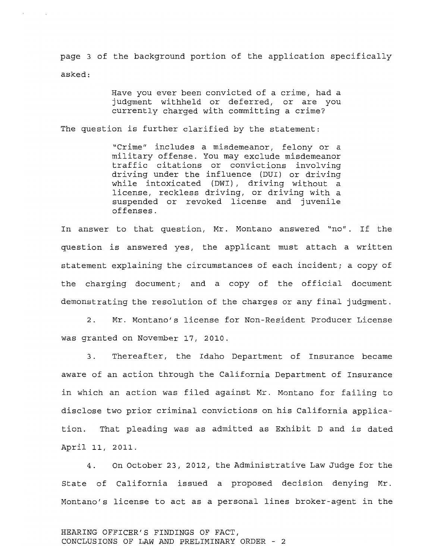page 3 of the background portion of the application specifically asked:

> Have you ever been convicted of a crime, had a judgment withheld or deferred, or are you currently charged with committing a crime?

The question is further clarified by the statement:

"Crime" includes a misdemeanor, felony or a military offense. You may exclude misdemeanor traffic citations or convictions involving driving under the influence (DUI) or driving while intoxicated (DWI), driving without a license, reckless driving, or driving with a suspended or revoked license and juvenile offenses.

In answer to that question, Mr. Montano answered "no". If the question is answered yes, the applicant must attach a written statement explaining the circumstances of each incident; a copy of the charging document; and a copy of the official document demonstrating the resolution of the charges or any final judgment.

2. Mr. Montano's license for Non-Resident Producer License was granted on November 17, 2010.

3. Thereafter, the Idaho Department of Insurance became aware of an action through the California Department of Insurance in which an action was filed against Mr. Montano for failing to disclose two prior criminal convictions on his California application. That pleading was as admitted as Exhibit D and is dated April 11, 2011.

4. On October 23, 2012, the Administrative Law Judge for the state of California issued a proposed decision denying Mr. Montano's license to act as a personal lines broker-agent in the

#### HEARING OFFICER'S FINDINGS OF FACT, CONCLUSIONS OF LAW AND PRELIMINARY ORDER - 2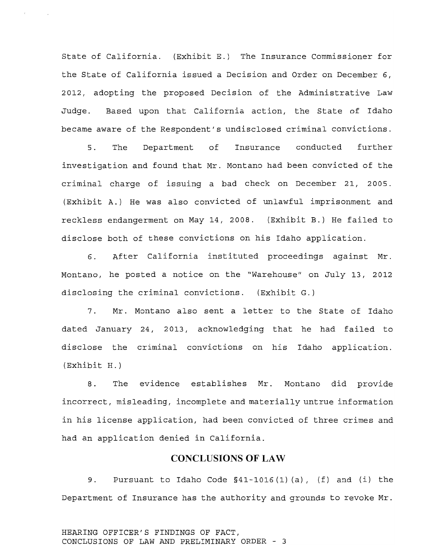State of California. (Exhibit E.) The Insurance Commissioner for the State of California issued a Decision and Order on December 6, 2012, adopting the proposed Decision of the Administrative Law Judge. Based upon that California action, the State of Idaho became aware of the Respondent's undisclosed criminal convictions.

5 . The Department of Insurance conducted further investigation and found that Mr. Montano had been convicted of the criminal charge of issuing a bad check on December 21, 2005. (Exhibit A.) He was also convicted of unlawful imprisonment and reckless endangerment on May 14, 2008. (Exhibit B.) He failed to disclose both of these convictions on his Idaho application.

6. After California instituted proceedings against Mr. Montano, he posted a notice on the "Warehouse" on July 13, 2012 disclosing the criminal convictions. (Exhibit G.)

7. Mr. Montano also sent a letter to the State of Idaho dated January 24, 2013, acknowledging that he had failed to disclose the criminal convictions on his Idaho application. (Exhibit H.)

8. The evidence establishes Mr. Montano did provide incorrect, misleading, incomplete and materially untrue information in his license application, had been convicted of three crimes and had an application denied in California.

# **CONCLUSIONS OF LAW**

9. Pursuant to Idaho Code §41-1016 (1) (a), (f) and (i) the Department of Insurance has the authority and grounds to revoke Mr.